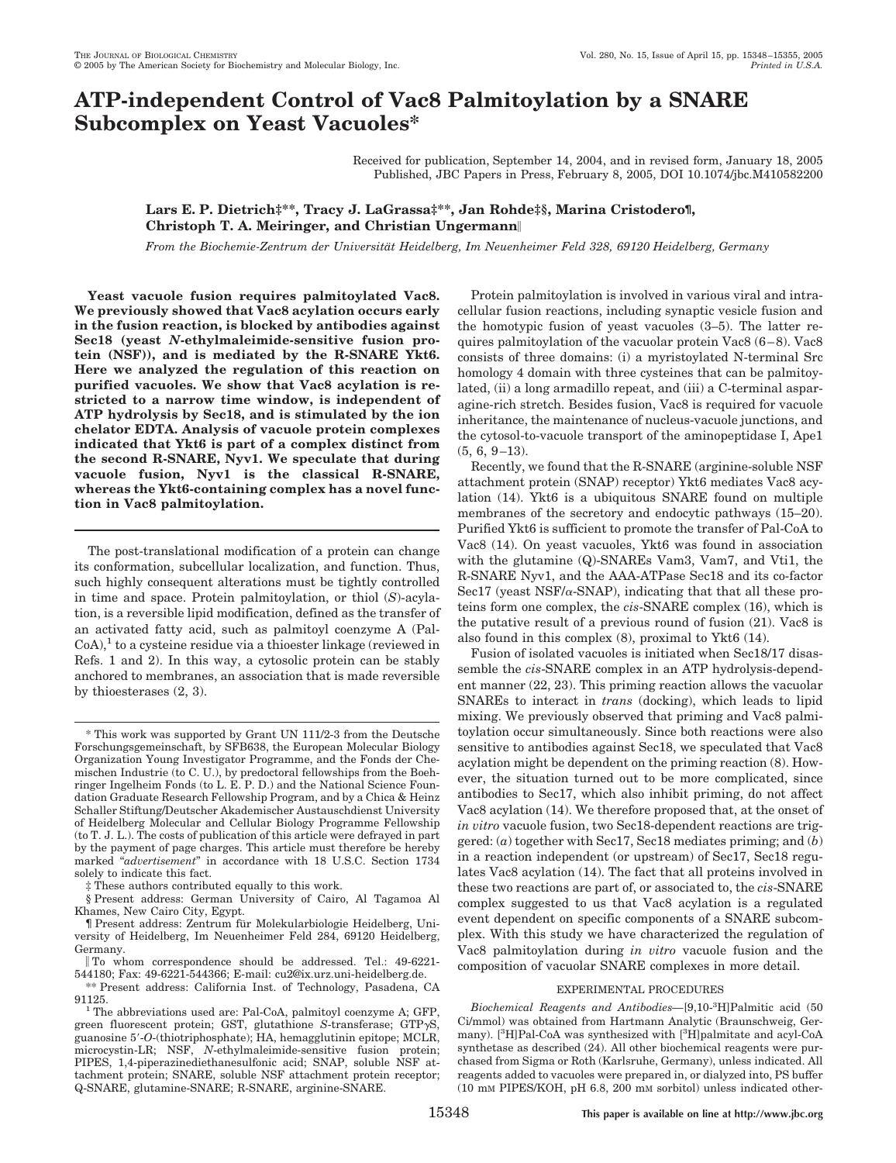# **ATP-independent Control of Vac8 Palmitoylation by a SNARE Subcomplex on Yeast Vacuoles\***

Received for publication, September 14, 2004, and in revised form, January 18, 2005 Published, JBC Papers in Press, February 8, 2005, DOI 10.1074/jbc.M410582200

## **Lars E. P. Dietrich‡\*\*, Tracy J. LaGrassa‡\*\*, Jan Rohde‡§, Marina Cristodero¶, Christoph T. A. Meiringer, and Christian Ungermann**

*From the Biochemie-Zentrum der Universita¨ t Heidelberg, Im Neuenheimer Feld 328, 69120 Heidelberg, Germany*

**Yeast vacuole fusion requires palmitoylated Vac8. We previously showed that Vac8 acylation occurs early in the fusion reaction, is blocked by antibodies against Sec18 (yeast** *N***-ethylmaleimide-sensitive fusion protein (NSF)), and is mediated by the R-SNARE Ykt6. Here we analyzed the regulation of this reaction on purified vacuoles. We show that Vac8 acylation is restricted to a narrow time window, is independent of ATP hydrolysis by Sec18, and is stimulated by the ion chelator EDTA. Analysis of vacuole protein complexes indicated that Ykt6 is part of a complex distinct from the second R-SNARE, Nyv1. We speculate that during vacuole fusion, Nyv1 is the classical R-SNARE, whereas the Ykt6-containing complex has a novel function in Vac8 palmitoylation.**

The post-translational modification of a protein can change its conformation, subcellular localization, and function. Thus, such highly consequent alterations must be tightly controlled in time and space. Protein palmitoylation, or thiol (*S*)-acylation, is a reversible lipid modification, defined as the transfer of an activated fatty acid, such as palmitoyl coenzyme A (Pal- $CoA$ ,  $\pm$  to a cysteine residue via a thioester linkage (reviewed in Refs. 1 and 2). In this way, a cytosolic protein can be stably anchored to membranes, an association that is made reversible by thioesterases (2, 3).

Protein palmitoylation is involved in various viral and intracellular fusion reactions, including synaptic vesicle fusion and the homotypic fusion of yeast vacuoles (3–5). The latter requires palmitoylation of the vacuolar protein Vac8 (6-8). Vac8 consists of three domains: (i) a myristoylated N-terminal Src homology 4 domain with three cysteines that can be palmitoylated, (ii) a long armadillo repeat, and (iii) a C-terminal asparagine-rich stretch. Besides fusion, Vac8 is required for vacuole inheritance, the maintenance of nucleus-vacuole junctions, and the cytosol-to-vacuole transport of the aminopeptidase I, Ape1  $(5, 6, 9-13)$ .

Recently, we found that the R-SNARE (arginine-soluble NSF attachment protein (SNAP) receptor) Ykt6 mediates Vac8 acylation (14). Ykt6 is a ubiquitous SNARE found on multiple membranes of the secretory and endocytic pathways (15–20). Purified Ykt6 is sufficient to promote the transfer of Pal-CoA to Vac8 (14). On yeast vacuoles, Ykt6 was found in association with the glutamine (Q)-SNAREs Vam3, Vam7, and Vti1, the R-SNARE Nyv1, and the AAA-ATPase Sec18 and its co-factor Sec17 (yeast NSF/ $\alpha$ -SNAP), indicating that that all these proteins form one complex, the *cis*-SNARE complex (16), which is the putative result of a previous round of fusion (21). Vac8 is also found in this complex (8), proximal to Ykt6 (14).

Fusion of isolated vacuoles is initiated when Sec18/17 disassemble the *cis*-SNARE complex in an ATP hydrolysis-dependent manner (22, 23). This priming reaction allows the vacuolar SNAREs to interact in *trans* (docking), which leads to lipid mixing. We previously observed that priming and Vac8 palmitoylation occur simultaneously. Since both reactions were also sensitive to antibodies against Sec18, we speculated that Vac8 acylation might be dependent on the priming reaction (8). However, the situation turned out to be more complicated, since antibodies to Sec17, which also inhibit priming, do not affect Vac8 acylation (14). We therefore proposed that, at the onset of *in vitro* vacuole fusion, two Sec18-dependent reactions are triggered: (*a*) together with Sec17, Sec18 mediates priming; and (*b*) in a reaction independent (or upstream) of Sec17, Sec18 regulates Vac8 acylation (14). The fact that all proteins involved in these two reactions are part of, or associated to, the *cis*-SNARE complex suggested to us that Vac8 acylation is a regulated event dependent on specific components of a SNARE subcomplex. With this study we have characterized the regulation of Vac8 palmitoylation during *in vitro* vacuole fusion and the composition of vacuolar SNARE complexes in more detail.

### EXPERIMENTAL PROCEDURES

*Biochemical Reagents and Antibodies—*[9,10-3 H]Palmitic acid (50 Ci/mmol) was obtained from Hartmann Analytic (Braunschweig, Germany). [<sup>3</sup>H]Pal-CoA was synthesized with [<sup>3</sup>H]palmitate and acyl-CoA synthetase as described (24). All other biochemical reagents were purchased from Sigma or Roth (Karlsruhe, Germany), unless indicated. All reagents added to vacuoles were prepared in, or dialyzed into, PS buffer (10 mM PIPES/KOH, pH 6.8, 200 mM sorbitol) unless indicated other-

<sup>\*</sup> This work was supported by Grant UN 111/2-3 from the Deutsche Forschungsgemeinschaft, by SFB638, the European Molecular Biology Organization Young Investigator Programme, and the Fonds der Chemischen Industrie (to C. U.), by predoctoral fellowships from the Boehringer Ingelheim Fonds (to L. E. P. D.) and the National Science Foundation Graduate Research Fellowship Program, and by a Chica & Heinz Schaller Stiftung/Deutscher Akademischer Austauschdienst University of Heidelberg Molecular and Cellular Biology Programme Fellowship (to T. J. L.). The costs of publication of this article were defrayed in part by the payment of page charges. This article must therefore be hereby marked "*advertisement*" in accordance with 18 U.S.C. Section 1734 solely to indicate this fact.

These authors contributed equally to this work.

<sup>§</sup> Present address: German University of Cairo, Al Tagamoa Al Khames, New Cairo City, Egypt.

<sup>¶</sup> Present address: Zentrum fu¨ r Molekularbiologie Heidelberg, University of Heidelberg, Im Neuenheimer Feld 284, 69120 Heidelberg, Germany.

To whom correspondence should be addressed. Tel.: 49-6221- 544180; Fax: 49-6221-544366; E-mail: cu2@ix.urz.uni-heidelberg.de.

<sup>\*\*</sup> Present address: California Inst. of Technology, Pasadena, CA 91125.<br><sup>1</sup> The abbreviations used are: Pal-CoA, palmitoyl coenzyme A; GFP,

green fluorescent protein; GST, glutathione *S*-transferase; GTP-S, guanosine 5-*O*-(thiotriphosphate); HA, hemagglutinin epitope; MCLR, microcystin-LR; NSF, *N*-ethylmaleimide-sensitive fusion protein; PIPES, 1,4-piperazinediethanesulfonic acid; SNAP, soluble NSF attachment protein; SNARE, soluble NSF attachment protein receptor; Q-SNARE, glutamine-SNARE; R-SNARE, arginine-SNARE.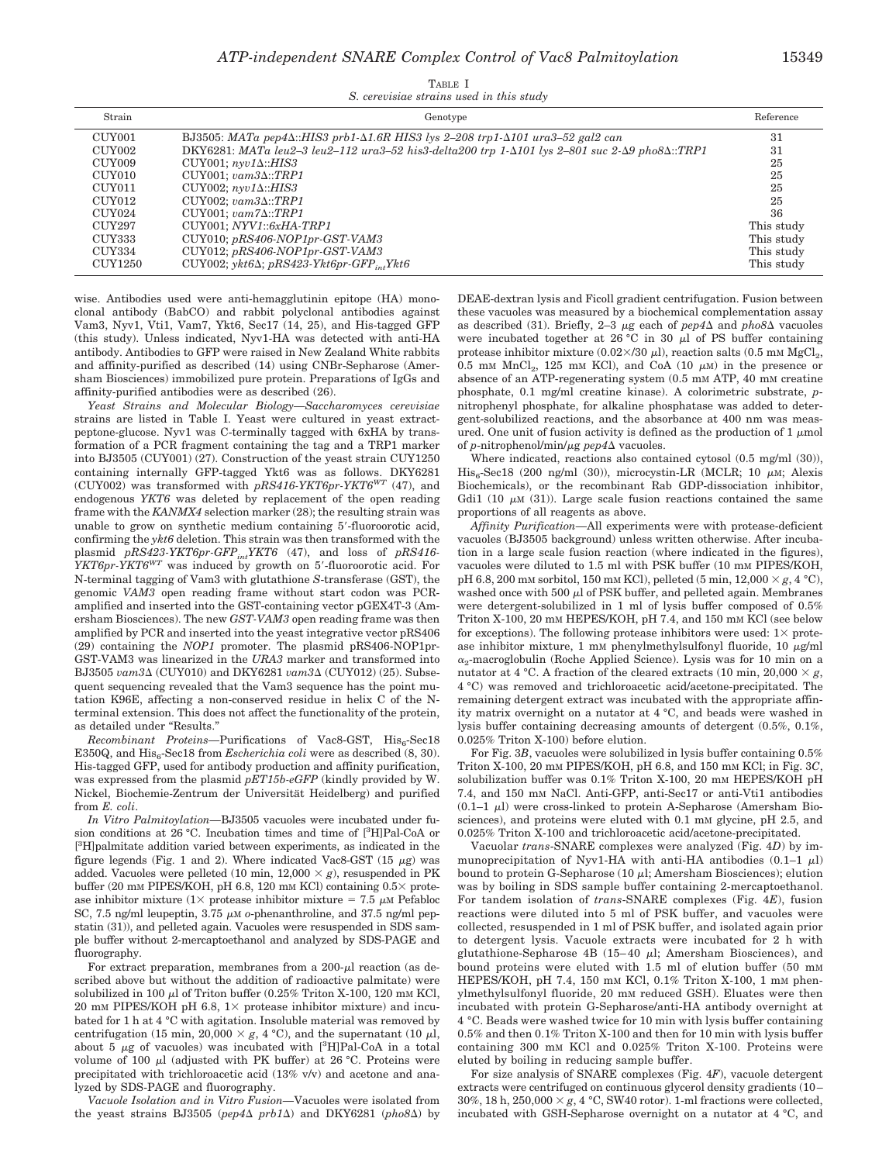| TABLE I                                  |  |  |  |  |  |  |
|------------------------------------------|--|--|--|--|--|--|
| S. cerevisiae strains used in this study |  |  |  |  |  |  |

| Strain  | Genotype                                                                                                                 | Reference  |
|---------|--------------------------------------------------------------------------------------------------------------------------|------------|
| CUY001  | BJ3505: MATa pep4 $\Delta$ ::HIS3 prb1- $\Delta$ 1.6R HIS3 lys 2-208 trp1- $\Delta$ 101 ura3-52 gal2 can                 | 31         |
| CUY002  | DKY6281: MATa leu2-3 leu2-112 ura3-52 his3-delta200 trp 1- $\Delta$ 101 lys 2-801 suc 2- $\Delta$ 9 pho8 $\Delta$ ::TRP1 | 31         |
| CUY009  | CUY001; $n$ yv1 $\Delta$ ::HIS3                                                                                          | 25         |
| CUY010  | $CUV001; vam3\Delta::TRP1$                                                                                               | 25         |
| CUY011  | $CUY002; n\n$                                                                                                            | 25         |
| CUY012  | $CUY002: vam3\Delta::TRP1$                                                                                               | 25         |
| CUY024  | $CUY001; vam7\Delta::TRP1$                                                                                               | 36         |
| CUY297  | $CUY001; NYVI::6xHA-TRP1$                                                                                                | This study |
| CUY333  | $CUY010; pRS406-NOP1pr-GST- VAMS$                                                                                        | This study |
| CUY334  | $CUY012$ ; $pRS406-NOP1pr-GST-VAMS$                                                                                      | This study |
| CUY1250 | CUY002; $\gamma k t 6\Delta$ ; $pRS423-Ykt6pr-GFP, Ykt6$                                                                 | This study |

wise. Antibodies used were anti-hemagglutinin epitope (HA) monoclonal antibody (BabCO) and rabbit polyclonal antibodies against Vam3, Nyv1, Vti1, Vam7, Ykt6, Sec17 (14, 25), and His-tagged GFP (this study). Unless indicated, Nyv1-HA was detected with anti-HA antibody. Antibodies to GFP were raised in New Zealand White rabbits and affinity-purified as described (14) using CNBr-Sepharose (Amersham Biosciences) immobilized pure protein. Preparations of IgGs and affinity-purified antibodies were as described (26).

*Yeast Strains and Molecular Biology—Saccharomyces cerevisiae* strains are listed in Table I. Yeast were cultured in yeast extractpeptone-glucose. Nyv1 was C-terminally tagged with 6xHA by transformation of a PCR fragment containing the tag and a TRP1 marker into BJ3505 (CUY001) (27). Construction of the yeast strain CUY1250 containing internally GFP-tagged Ykt6 was as follows. DKY6281 (CUY002) was transformed with *pRS416-YKT6pr-YKT6WT* (47), and endogenous *YKT6* was deleted by replacement of the open reading frame with the *KANMX4* selection marker (28); the resulting strain was unable to grow on synthetic medium containing 5-fluoroorotic acid, confirming the *ykt6* deletion. This strain was then transformed with the plasmid *pRS423-YKT6pr-GFPintYKT6* (47), and loss of *pRS416- YKT6pr-YKT6<sup>WT</sup>* was induced by growth on 5'-fluoroorotic acid. For N-terminal tagging of Vam3 with glutathione *S*-transferase (GST), the genomic *VAM3* open reading frame without start codon was PCRamplified and inserted into the GST-containing vector pGEX4T-3 (Amersham Biosciences). The new *GST-VAM3* open reading frame was then amplified by PCR and inserted into the yeast integrative vector pRS406 (29) containing the *NOP1* promoter. The plasmid pRS406-NOP1pr-GST-VAM3 was linearized in the *URA3* marker and transformed into BJ3505 *vam3* $\Delta$  (CUY010) and DKY6281 *vam3* $\Delta$  (CUY012) (25). Subsequent sequencing revealed that the Vam3 sequence has the point mutation K96E, affecting a non-conserved residue in helix C of the Nterminal extension. This does not affect the functionality of the protein, as detailed under "Results."

*Recombinant Proteins*—Purifications of Vac8-GST, His<sub>6</sub>-Sec18 E350Q, and His<sub>6</sub>-Sec18 from *Escherichia coli* were as described (8, 30). His-tagged GFP, used for antibody production and affinity purification, was expressed from the plasmid *pET15b-eGFP* (kindly provided by W. Nickel, Biochemie-Zentrum der Universität Heidelberg) and purified from *E. coli*.

*In Vitro Palmitoylation—*BJ3505 vacuoles were incubated under fusion conditions at 26 °C. Incubation times and time of [3 H]Pal-CoA or [<sup>3</sup>H]palmitate addition varied between experiments, as indicated in the figure legends (Fig. 1 and 2). Where indicated Vac8-GST (15  $\mu$ g) was added. Vacuoles were pelleted (10 min,  $12,000 \times g$ ), resuspended in PK buffer (20 mM PIPES/KOH, pH 6.8, 120 mM KCl) containing  $0.5\times$  protease inhibitor mixture ( $1 \times$  protease inhibitor mixture = 7.5  $\mu$ M Pefabloc SC, 7.5 ng/ml leupeptin, 3.75  $\mu$ M *o*-phenanthroline, and 37.5 ng/ml pepstatin (31)), and pelleted again. Vacuoles were resuspended in SDS sample buffer without 2-mercaptoethanol and analyzed by SDS-PAGE and fluorography.

For extract preparation, membranes from a  $200-\mu$  reaction (as described above but without the addition of radioactive palmitate) were solubilized in 100  $\mu$ l of Triton buffer (0.25% Triton X-100, 120 mM KCl, 20 mM PIPES/KOH pH 6.8,  $1 \times$  protease inhibitor mixture) and incubated for 1 h at 4 °C with agitation. Insoluble material was removed by centrifugation (15 min, 20,000  $\times g$ , 4 °C), and the supernatant (10  $\mu$ l, about 5  $\mu$ g of vacuoles) was incubated with  $[^3H]$ Pal-CoA in a total volume of 100  $\mu$ l (adjusted with PK buffer) at 26 °C. Proteins were precipitated with trichloroacetic acid (13% v/v) and acetone and analyzed by SDS-PAGE and fluorography.

*Vacuole Isolation and in Vitro Fusion—*Vacuoles were isolated from the yeast strains BJ3505 ( $pep4\Delta$   $prb1\Delta$ ) and DKY6281 ( $pho8\Delta$ ) by DEAE-dextran lysis and Ficoll gradient centrifugation. Fusion between these vacuoles was measured by a biochemical complementation assay as described (31). Briefly, 2–3  $\mu$ g each of  $pep4\Delta$  and  $pho8\Delta$  vacuoles were incubated together at  $26\degree C$  in 30  $\mu$  of PS buffer containing protease inhibitor mixture (0.02 $\times$ /30  $\mu$ l), reaction salts (0.5 mM MgCl<sub>2</sub>, 0.5 mM  $MnCl<sub>2</sub>$ , 125 mM KCl), and CoA (10  $\mu$ M) in the presence or absence of an ATP-regenerating system (0.5 mM ATP, 40 mM creatine phosphate, 0.1 mg/ml creatine kinase). A colorimetric substrate, *p*nitrophenyl phosphate, for alkaline phosphatase was added to detergent-solubilized reactions, and the absorbance at 400 nm was measured. One unit of fusion activity is defined as the production of  $1 \mu$ mol of *p*-nitrophenol/min/μg *pep4*Δ vacuoles.

Where indicated, reactions also contained cytosol (0.5 mg/ml (30)),  $His<sub>c</sub>Sec18$  (200 ng/ml (30)), microcystin-LR (MCLR; 10  $\mu$ M; Alexis Biochemicals), or the recombinant Rab GDP-dissociation inhibitor, Gdi1 (10  $\mu$ M (31)). Large scale fusion reactions contained the same proportions of all reagents as above.

*Affinity Purification—*All experiments were with protease-deficient vacuoles (BJ3505 background) unless written otherwise. After incubation in a large scale fusion reaction (where indicated in the figures), vacuoles were diluted to 1.5 ml with PSK buffer (10 mM PIPES/KOH, pH 6.8, 200 mM sorbitol, 150 mM KCl), pelleted (5 min,  $12,000 \times g$ , 4 °C), washed once with 500  $\mu$ l of PSK buffer, and pelleted again. Membranes were detergent-solubilized in 1 ml of lysis buffer composed of 0.5% Triton X-100, 20 mM HEPES/KOH, pH 7.4, and 150 mM KCl (see below for exceptions). The following protease inhibitors were used:  $1 \times$  protease inhibitor mixture, 1 mM phenylmethylsulfonyl fluoride, 10  $\mu$ g/ml  $\alpha$ -macroglobulin (Roche Applied Science). Lysis was for 10 min on a nutator at 4 °C. A fraction of the cleared extracts (10 min, 20,000  $\times$  *g*, 4 °C) was removed and trichloroacetic acid/acetone-precipitated. The remaining detergent extract was incubated with the appropriate affinity matrix overnight on a nutator at 4 °C, and beads were washed in lysis buffer containing decreasing amounts of detergent (0.5%, 0.1%, 0.025% Triton X-100) before elution.

For Fig. 3*B*, vacuoles were solubilized in lysis buffer containing 0.5% Triton X-100, 20 mM PIPES/KOH, pH 6.8, and 150 mM KCl; in Fig. 3*C*, solubilization buffer was 0.1% Triton X-100, 20 mM HEPES/KOH pH 7.4, and 150 mM NaCl. Anti-GFP, anti-Sec17 or anti-Vti1 antibodies  $(0.1-1 \mu l)$  were cross-linked to protein A-Sepharose (Amersham Biosciences), and proteins were eluted with 0.1 mm glycine, pH 2.5, and 0.025% Triton X-100 and trichloroacetic acid/acetone-precipitated.

Vacuolar *trans*-SNARE complexes were analyzed (Fig. 4*D*) by immunoprecipitation of Nyv1-HA with anti-HA antibodies  $(0.1-1 \mu l)$ bound to protein G-Sepharose (10  $\mu$ ); Amersham Biosciences); elution was by boiling in SDS sample buffer containing 2-mercaptoethanol. For tandem isolation of *trans*-SNARE complexes (Fig. 4*E*), fusion reactions were diluted into 5 ml of PSK buffer, and vacuoles were collected, resuspended in 1 ml of PSK buffer, and isolated again prior to detergent lysis. Vacuole extracts were incubated for 2 h with glutathione-Sepharose 4B (15–40  $\mu$ l; Amersham Biosciences), and bound proteins were eluted with 1.5 ml of elution buffer (50 mM HEPES/KOH, pH 7.4, 150 mM KCl, 0.1% Triton X-100, 1 mM phenylmethylsulfonyl fluoride, 20 mM reduced GSH). Eluates were then incubated with protein G-Sepharose/anti-HA antibody overnight at 4 °C. Beads were washed twice for 10 min with lysis buffer containing 0.5% and then 0.1% Triton X-100 and then for 10 min with lysis buffer containing 300 mM KCl and 0.025% Triton X-100. Proteins were eluted by boiling in reducing sample buffer.

For size analysis of SNARE complexes (Fig. 4*F*), vacuole detergent extracts were centrifuged on continuous glycerol density gradients (10 – 30%, 18 h,  $250,000 \times g$ , 4 °C, SW40 rotor). 1-ml fractions were collected, incubated with GSH-Sepharose overnight on a nutator at 4 °C, and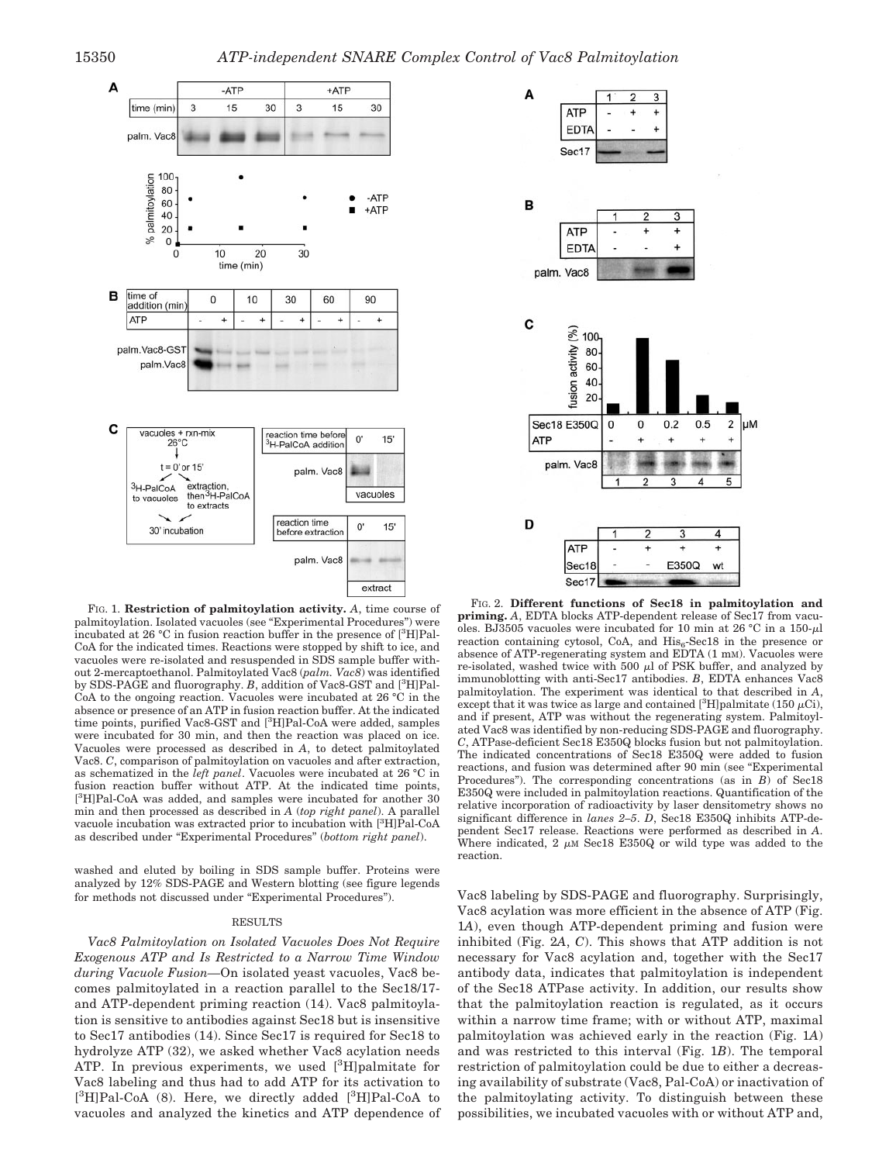A

**ATF** 



FIG. 1. **Restriction of palmitoylation activity.** *A*, time course of palmitoylation. Isolated vacuoles (see "Experimental Procedures") were incubated at 26 °C in fusion reaction buffer in the presence of [3 H]Pal-CoA for the indicated times. Reactions were stopped by shift to ice, and vacuoles were re-isolated and resuspended in SDS sample buffer without 2-mercaptoethanol. Palmitoylated Vac8 (*palm. Vac8*) was identified by SDS-PAGE and fluorography. *B*, addition of Vac8-GST and [<sup>3</sup>H]Pal-CoA to the ongoing reaction. Vacuoles were incubated at 26 °C in the absence or presence of an ATP in fusion reaction buffer. At the indicated time points, purified Vac8-GST and [3H]Pal-CoA were added, samples were incubated for 30 min, and then the reaction was placed on ice. Vacuoles were processed as described in *A*, to detect palmitoylated Vac8. *C*, comparison of palmitoylation on vacuoles and after extraction, as schematized in the *left panel*. Vacuoles were incubated at 26 °C in fusion reaction buffer without ATP. At the indicated time points, [<sup>3</sup>H]Pal-CoA was added, and samples were incubated for another 30 min and then processed as described in *A* (*top right panel*). A parallel vacuole incubation was extracted prior to incubation with [3H]Pal-CoA as described under "Experimental Procedures" (*bottom right panel*).

washed and eluted by boiling in SDS sample buffer. Proteins were analyzed by 12% SDS-PAGE and Western blotting (see figure legends for methods not discussed under "Experimental Procedures").

#### RESULTS

*Vac8 Palmitoylation on Isolated Vacuoles Does Not Require Exogenous ATP and Is Restricted to a Narrow Time Window during Vacuole Fusion—*On isolated yeast vacuoles, Vac8 becomes palmitoylated in a reaction parallel to the Sec18/17 and ATP-dependent priming reaction (14). Vac8 palmitoylation is sensitive to antibodies against Sec18 but is insensitive to Sec17 antibodies (14). Since Sec17 is required for Sec18 to hydrolyze ATP (32), we asked whether Vac8 acylation needs ATP. In previous experiments, we used [3H]palmitate for Vac8 labeling and thus had to add ATP for its activation to [<sup>3</sup>H]Pal-CoA (8). Here, we directly added [<sup>3</sup>H]Pal-CoA to vacuoles and analyzed the kinetics and ATP dependence of



FIG. 2. **Different functions of Sec18 in palmitoylation and priming.** *A*, EDTA blocks ATP-dependent release of Sec17 from vacuoles. BJ3505 vacuoles were incubated for 10 min at 26 °C in a 150- $\mu$ l reaction containing cytosol, CoA, and  $His_6$ -Sec18 in the presence or absence of ATP-regenerating system and EDTA (1 mM). Vacuoles were re-isolated, washed twice with 500  $\mu$ l of PSK buffer, and analyzed by immunoblotting with anti-Sec17 antibodies. *B*, EDTA enhances Vac8 palmitoylation. The experiment was identical to that described in *A*, except that it was twice as large and contained [ $^{3}$ H]palmitate (150  $\mu$ Ci), and if present, ATP was without the regenerating system. Palmitoylated Vac8 was identified by non-reducing SDS-PAGE and fluorography. *C*, ATPase-deficient Sec18 E350Q blocks fusion but not palmitoylation. The indicated concentrations of Sec18 E350Q were added to fusion reactions, and fusion was determined after 90 min (see "Experimental Procedures"). The corresponding concentrations (as in *B*) of Sec18 E350Q were included in palmitoylation reactions. Quantification of the relative incorporation of radioactivity by laser densitometry shows no significant difference in *lanes 2–5*. *D*, Sec18 E350Q inhibits ATP-dependent Sec17 release. Reactions were performed as described in *A*. Where indicated, 2  $\mu$ M Sec18 E350Q or wild type was added to the reaction.

Vac8 labeling by SDS-PAGE and fluorography. Surprisingly, Vac8 acylation was more efficient in the absence of ATP (Fig. 1*A*), even though ATP-dependent priming and fusion were inhibited (Fig. 2*A*, *C*). This shows that ATP addition is not necessary for Vac8 acylation and, together with the Sec17 antibody data, indicates that palmitoylation is independent of the Sec18 ATPase activity. In addition, our results show that the palmitoylation reaction is regulated, as it occurs within a narrow time frame; with or without ATP, maximal palmitoylation was achieved early in the reaction (Fig. 1*A*) and was restricted to this interval (Fig. 1*B*). The temporal restriction of palmitoylation could be due to either a decreasing availability of substrate (Vac8, Pal-CoA) or inactivation of the palmitoylating activity. To distinguish between these possibilities, we incubated vacuoles with or without ATP and,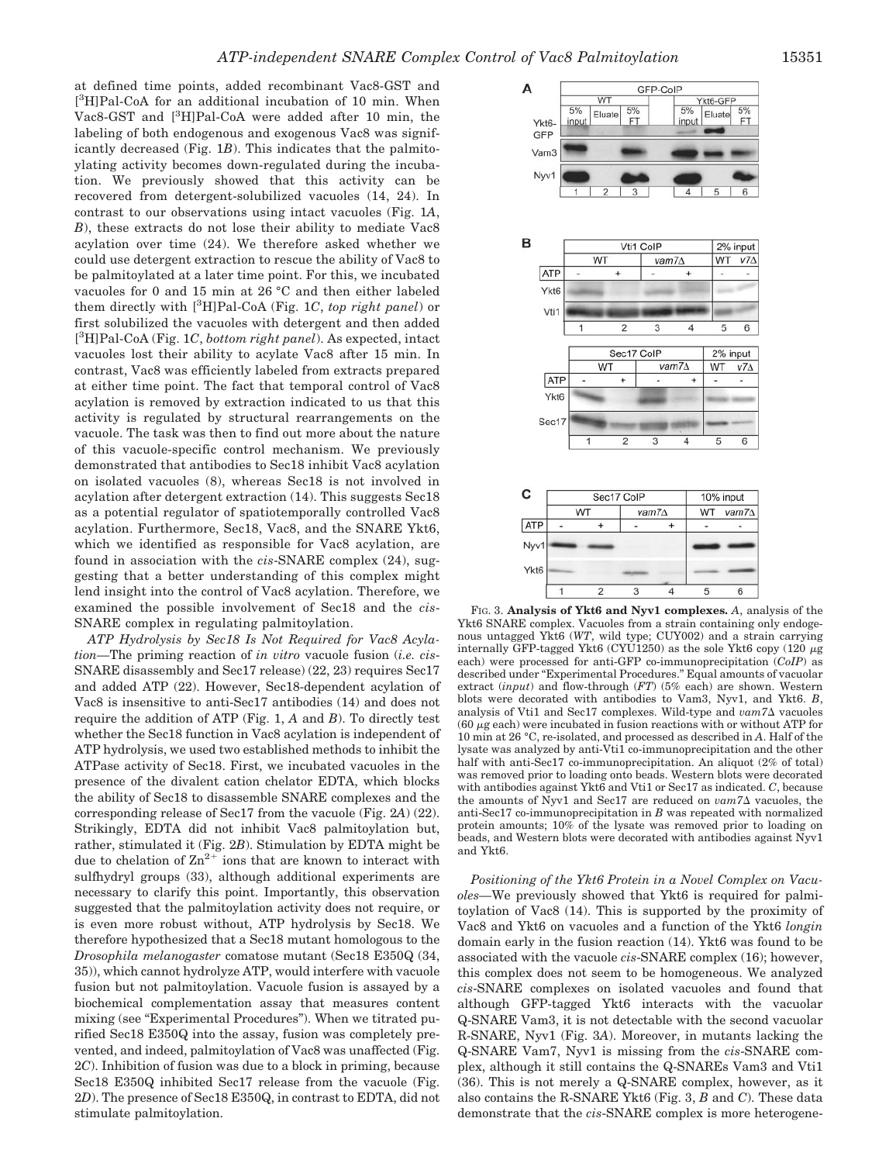at defined time points, added recombinant Vac8-GST and [<sup>3</sup>H]Pal-CoA for an additional incubation of 10 min. When Vac8-GST and [<sup>3</sup>H]Pal-CoA were added after 10 min, the labeling of both endogenous and exogenous Vac8 was significantly decreased (Fig. 1*B*). This indicates that the palmitoylating activity becomes down-regulated during the incubation. We previously showed that this activity can be recovered from detergent-solubilized vacuoles (14, 24). In contrast to our observations using intact vacuoles (Fig. 1*A*, *B*), these extracts do not lose their ability to mediate Vac8 acylation over time (24). We therefore asked whether we could use detergent extraction to rescue the ability of Vac8 to be palmitoylated at a later time point. For this, we incubated vacuoles for 0 and 15 min at 26 °C and then either labeled them directly with [<sup>3</sup> H]Pal-CoA (Fig. 1*C*, *top right panel*) or first solubilized the vacuoles with detergent and then added [ 3 H]Pal-CoA (Fig. 1*C*, *bottom right panel*). As expected, intact vacuoles lost their ability to acylate Vac8 after 15 min. In contrast, Vac8 was efficiently labeled from extracts prepared at either time point. The fact that temporal control of Vac8 acylation is removed by extraction indicated to us that this activity is regulated by structural rearrangements on the vacuole. The task was then to find out more about the nature of this vacuole-specific control mechanism. We previously demonstrated that antibodies to Sec18 inhibit Vac8 acylation on isolated vacuoles (8), whereas Sec18 is not involved in acylation after detergent extraction (14). This suggests Sec18 as a potential regulator of spatiotemporally controlled Vac8 acylation. Furthermore, Sec18, Vac8, and the SNARE Ykt6, which we identified as responsible for Vac8 acylation, are found in association with the *cis*-SNARE complex (24), suggesting that a better understanding of this complex might lend insight into the control of Vac8 acylation. Therefore, we examined the possible involvement of Sec18 and the *cis*-SNARE complex in regulating palmitoylation.

*ATP Hydrolysis by Sec18 Is Not Required for Vac8 Acylation—*The priming reaction of *in vitro* vacuole fusion (*i.e. cis*-SNARE disassembly and Sec17 release) (22, 23) requires Sec17 and added ATP (22). However, Sec18-dependent acylation of Vac8 is insensitive to anti-Sec17 antibodies (14) and does not require the addition of ATP (Fig. 1, *A* and *B*). To directly test whether the Sec18 function in Vac8 acylation is independent of ATP hydrolysis, we used two established methods to inhibit the ATPase activity of Sec18. First, we incubated vacuoles in the presence of the divalent cation chelator EDTA, which blocks the ability of Sec18 to disassemble SNARE complexes and the corresponding release of Sec17 from the vacuole (Fig. 2*A*) (22). Strikingly, EDTA did not inhibit Vac8 palmitoylation but, rather, stimulated it (Fig. 2*B*). Stimulation by EDTA might be due to chelation of  $\text{Zn}^{2+}$  ions that are known to interact with sulfhydryl groups (33), although additional experiments are necessary to clarify this point. Importantly, this observation suggested that the palmitoylation activity does not require, or is even more robust without, ATP hydrolysis by Sec18. We therefore hypothesized that a Sec18 mutant homologous to the *Drosophila melanogaster* comatose mutant (Sec18 E350Q (34, 35)), which cannot hydrolyze ATP, would interfere with vacuole fusion but not palmitoylation. Vacuole fusion is assayed by a biochemical complementation assay that measures content mixing (see "Experimental Procedures"). When we titrated purified Sec18 E350Q into the assay, fusion was completely prevented, and indeed, palmitoylation of Vac8 was unaffected (Fig. 2*C*). Inhibition of fusion was due to a block in priming, because Sec18 E350Q inhibited Sec17 release from the vacuole (Fig. 2*D*). The presence of Sec18 E350Q, in contrast to EDTA, did not stimulate palmitoylation.



FIG. 3. **Analysis of Ykt6 and Nyv1 complexes.** *A*, analysis of the Ykt6 SNARE complex. Vacuoles from a strain containing only endogenous untagged Ykt6 (*WT*, wild type; CUY002) and a strain carrying internally GFP-tagged Ykt6 (CYU1250) as the sole Ykt6 copy (120  $\mu$ g each) were processed for anti-GFP co-immunoprecipitation (*CoIP*) as described under "Experimental Procedures." Equal amounts of vacuolar extract (*input*) and flow-through (*FT*) (5% each) are shown. Western blots were decorated with antibodies to Vam3, Nyv1, and Ykt6. *B*, analysis of Vti1 and Sec17 complexes. Wild-type and  $vam7\Delta$  vacuoles  $(60 \mu g$  each) were incubated in fusion reactions with or without ATP for 10 min at 26 °C, re-isolated, and processed as described in *A*. Half of the lysate was analyzed by anti-Vti1 co-immunoprecipitation and the other half with anti-Sec17 co-immunoprecipitation. An aliquot (2% of total) was removed prior to loading onto beads. Western blots were decorated with antibodies against Ykt6 and Vti1 or Sec17 as indicated. *C*, because the amounts of Nyv1 and Sec17 are reduced on  $vam/2$  vacuoles, the anti-Sec17 co-immunoprecipitation in *B* was repeated with normalized protein amounts; 10% of the lysate was removed prior to loading on beads, and Western blots were decorated with antibodies against Nyv1 and Ykt6.

*Positioning of the Ykt6 Protein in a Novel Complex on Vacuoles—*We previously showed that Ykt6 is required for palmitoylation of Vac8 (14). This is supported by the proximity of Vac8 and Ykt6 on vacuoles and a function of the Ykt6 *longin* domain early in the fusion reaction (14). Ykt6 was found to be associated with the vacuole *cis*-SNARE complex (16); however, this complex does not seem to be homogeneous. We analyzed *cis*-SNARE complexes on isolated vacuoles and found that although GFP-tagged Ykt6 interacts with the vacuolar Q-SNARE Vam3, it is not detectable with the second vacuolar R-SNARE, Nyv1 (Fig. 3*A*). Moreover, in mutants lacking the Q-SNARE Vam7, Nyv1 is missing from the *cis*-SNARE complex, although it still contains the Q-SNAREs Vam3 and Vti1 (36). This is not merely a Q-SNARE complex, however, as it also contains the R-SNARE Ykt6 (Fig. 3, *B* and *C*). These data demonstrate that the *cis*-SNARE complex is more heterogene-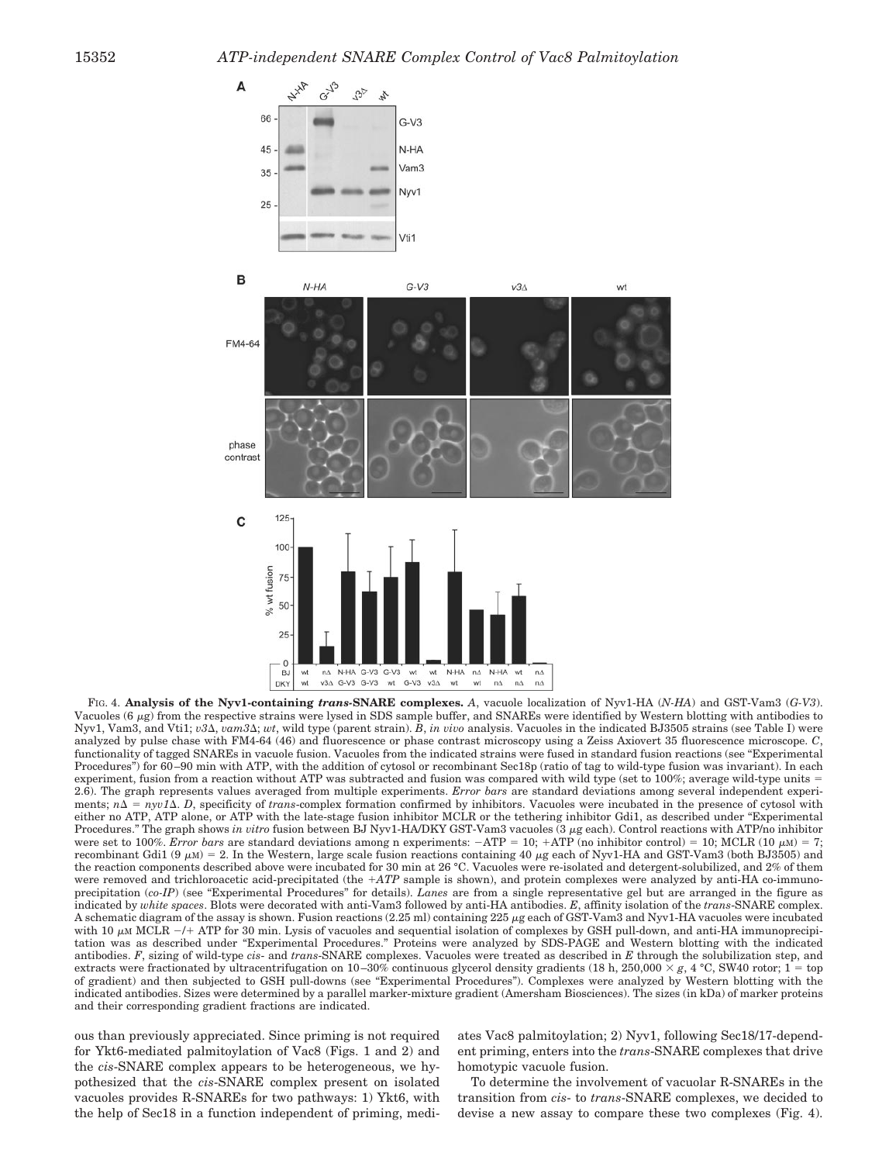

FIG. 4. **Analysis of the Nyv1-containing** *trans-***SNARE complexes.** *A*, vacuole localization of Nyv1-HA (*N-HA*) and GST-Vam3 (*G-V3*). Vacuoles (6  $\mu$ g) from the respective strains were lysed in SDS sample buffer, and SNAREs were identified by Western blotting with antibodies to Nyv1, Vam3, and Vti1; *v3*Δ, *vam3*Δ; *wt*, wild type (parent strain). *B, in vivo* analysis. Vacuoles in the indicated BJ3505 strains (see Table I) were analyzed by pulse chase with FM4-64 (46) and fluorescence or phase contrast microscopy using a Zeiss Axiovert 35 fluorescence microscope. *C*, functionality of tagged SNAREs in vacuole fusion. Vacuoles from the indicated strains were fused in standard fusion reactions (see "Experimental Procedures") for 60-90 min with ATP, with the addition of cytosol or recombinant Sec18p (ratio of tag to wild-type fusion was invariant). In each experiment, fusion from a reaction without ATP was subtracted and fusion was compared with wild type (set to 100%; average wild-type units = 2.6). The graph represents values averaged from multiple experiments. *Error bars* are standard deviations among several independent experiments;  $n\Delta = n y v I \Delta$ . *D*, specificity of *trans*-complex formation confirmed by inhibitors. Vacuoles were incubated in the presence of cytosol with either no ATP, ATP alone, or ATP with the late-stage fusion inhibitor MCLR or the tethering inhibitor Gdi1, as described under "Experimental Procedures." The graph shows *in vitro* fusion between BJ Nyv1-HA/DKY GST-Vam3 vacuoles (3  $\mu$ g each). Control reactions with ATP/no inhibitor were set to 100%. *Error bars* are standard deviations among n experiments:  $-ATP = 10$ ;  $+ATP$  (no inhibitor control) = 10; MCLR (10  $\mu$ M) = 7; recombinant Gdi1 (9  $\mu$ M) = 2. In the Western, large scale fusion reactions containing 40  $\mu$ g each of Nyv1-HA and GST-Vam3 (both BJ3505) and the reaction components described above were incubated for 30 min at 26 °C. Vacuoles were re-isolated and detergent-solubilized, and 2% of them were removed and trichloroacetic acid-precipitated (the *ATP* sample is shown), and protein complexes were analyzed by anti-HA co-immunoprecipitation (*co-IP*) (see "Experimental Procedures" for details). *Lanes* are from a single representative gel but are arranged in the figure as indicated by *white spaces*. Blots were decorated with anti-Vam3 followed by anti-HA antibodies. *E*, affinity isolation of the *trans*-SNARE complex. A schematic diagram of the assay is shown. Fusion reactions (2.25 ml) containing 225 µg each of GST-Vam3 and Nyv1-HA vacuoles were incubated with 10  $\mu$ M MCLR  $-$ /+ ATP for 30 min. Lysis of vacuoles and sequential isolation of complexes by GSH pull-down, and anti-HA immunoprecipitation was as described under "Experimental Procedures." Proteins were analyzed by SDS-PAGE and Western blotting with the indicated antibodies. *F*, sizing of wild-type *cis*- and *trans*-SNARE complexes. Vacuoles were treated as described in *E* through the solubilization step, and extracts were fractionated by ultracentrifugation on  $10-30\%$  continuous glycerol density gradients (18 h, 250,000  $\times g$ , 4 °C, SW40 rotor; 1 = top of gradient) and then subjected to GSH pull-downs (see "Experimental Procedures"). Complexes were analyzed by Western blotting with the indicated antibodies. Sizes were determined by a parallel marker-mixture gradient (Amersham Biosciences). The sizes (in kDa) of marker proteins and their corresponding gradient fractions are indicated.

ous than previously appreciated. Since priming is not required for Ykt6-mediated palmitoylation of Vac8 (Figs. 1 and 2) and the *cis*-SNARE complex appears to be heterogeneous, we hypothesized that the *cis*-SNARE complex present on isolated vacuoles provides R-SNAREs for two pathways: 1) Ykt6, with the help of Sec18 in a function independent of priming, mediates Vac8 palmitoylation; 2) Nyv1, following Sec18/17-dependent priming, enters into the *trans*-SNARE complexes that drive homotypic vacuole fusion.

To determine the involvement of vacuolar R-SNAREs in the transition from *cis*- to *trans*-SNARE complexes, we decided to devise a new assay to compare these two complexes (Fig. 4).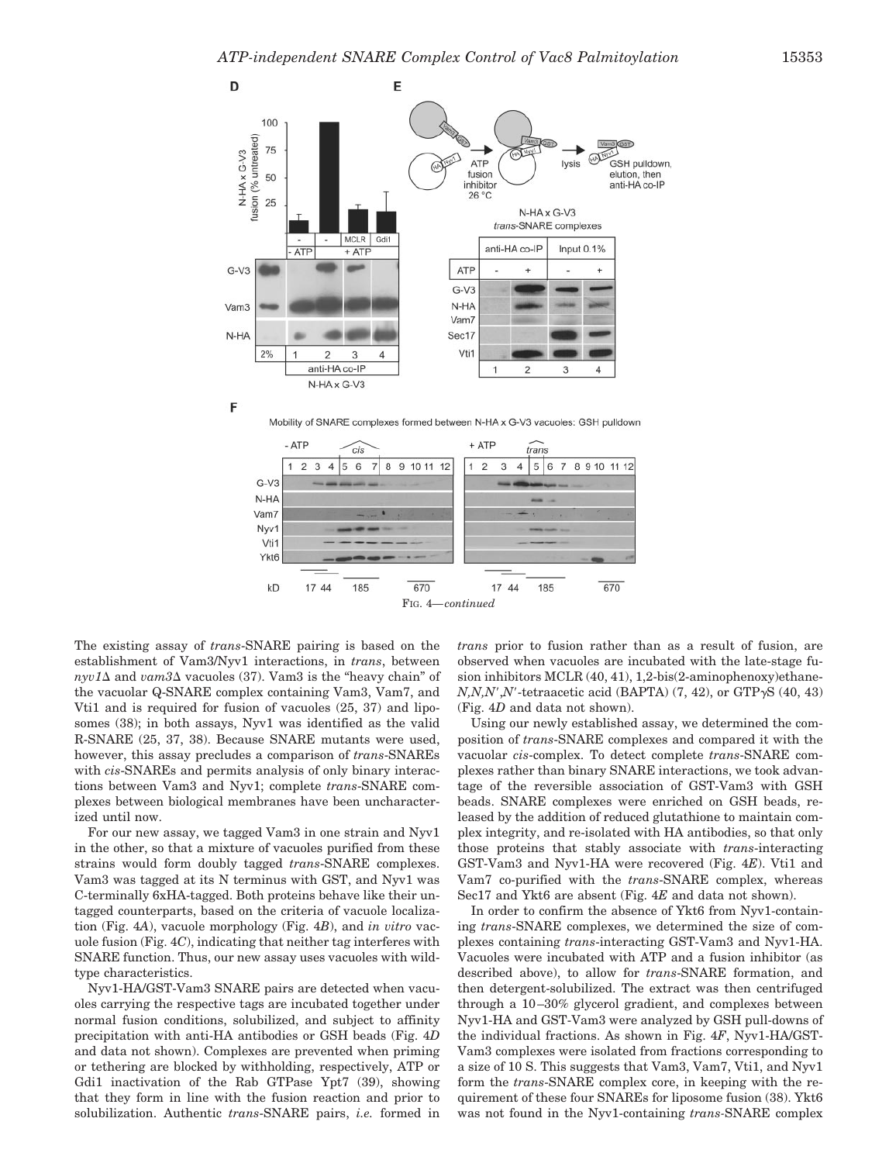





The existing assay of *trans*-SNARE pairing is based on the establishment of Vam3/Nyv1 interactions, in *trans*, between  $nyv1\Delta$  and  $vam3\Delta$  vacuoles (37). Vam3 is the "heavy chain" of the vacuolar Q-SNARE complex containing Vam3, Vam7, and Vti1 and is required for fusion of vacuoles (25, 37) and liposomes (38); in both assays, Nyv1 was identified as the valid R-SNARE (25, 37, 38). Because SNARE mutants were used, however, this assay precludes a comparison of *trans*-SNAREs with *cis*-SNAREs and permits analysis of only binary interactions between Vam3 and Nyv1; complete *trans*-SNARE complexes between biological membranes have been uncharacterized until now.

For our new assay, we tagged Vam3 in one strain and Nyv1 in the other, so that a mixture of vacuoles purified from these strains would form doubly tagged *trans*-SNARE complexes. Vam3 was tagged at its N terminus with GST, and Nyv1 was C-terminally 6xHA-tagged. Both proteins behave like their untagged counterparts, based on the criteria of vacuole localization (Fig. 4*A*), vacuole morphology (Fig. 4*B*), and *in vitro* vacuole fusion (Fig. 4*C*), indicating that neither tag interferes with SNARE function. Thus, our new assay uses vacuoles with wildtype characteristics.

Nyv1-HA/GST-Vam3 SNARE pairs are detected when vacuoles carrying the respective tags are incubated together under normal fusion conditions, solubilized, and subject to affinity precipitation with anti-HA antibodies or GSH beads (Fig. 4*D* and data not shown). Complexes are prevented when priming or tethering are blocked by withholding, respectively, ATP or Gdi1 inactivation of the Rab GTPase Ypt7 (39), showing that they form in line with the fusion reaction and prior to solubilization. Authentic *trans*-SNARE pairs, *i.e.* formed in

*trans* prior to fusion rather than as a result of fusion, are observed when vacuoles are incubated with the late-stage fusion inhibitors MCLR (40, 41), 1,2-bis(2-aminophenoxy)ethane- $N$ , $N$ , $N'$ , $N'$ -tetraacetic acid (BAPTA) (7, 42), or GTP $\gamma$ S (40, 43) (Fig. 4*D* and data not shown).

Using our newly established assay, we determined the composition of *trans*-SNARE complexes and compared it with the vacuolar *cis*-complex. To detect complete *trans*-SNARE complexes rather than binary SNARE interactions, we took advantage of the reversible association of GST-Vam3 with GSH beads. SNARE complexes were enriched on GSH beads, released by the addition of reduced glutathione to maintain complex integrity, and re-isolated with HA antibodies, so that only those proteins that stably associate with *trans*-interacting GST-Vam3 and Nyv1-HA were recovered (Fig. 4*E*). Vti1 and Vam7 co-purified with the *trans*-SNARE complex, whereas Sec17 and Ykt6 are absent (Fig. 4*E* and data not shown).

In order to confirm the absence of Ykt6 from Nyv1-containing *trans*-SNARE complexes, we determined the size of complexes containing *trans*-interacting GST-Vam3 and Nyv1-HA. Vacuoles were incubated with ATP and a fusion inhibitor (as described above), to allow for *trans*-SNARE formation, and then detergent-solubilized. The extract was then centrifuged through a 10 –30% glycerol gradient, and complexes between Nyv1-HA and GST-Vam3 were analyzed by GSH pull-downs of the individual fractions. As shown in Fig. 4*F*, Nyv1-HA/GST-Vam3 complexes were isolated from fractions corresponding to a size of 10 S. This suggests that Vam3, Vam7, Vti1, and Nyv1 form the *trans*-SNARE complex core, in keeping with the requirement of these four SNAREs for liposome fusion (38). Ykt6 was not found in the Nyv1-containing *trans-*SNARE complex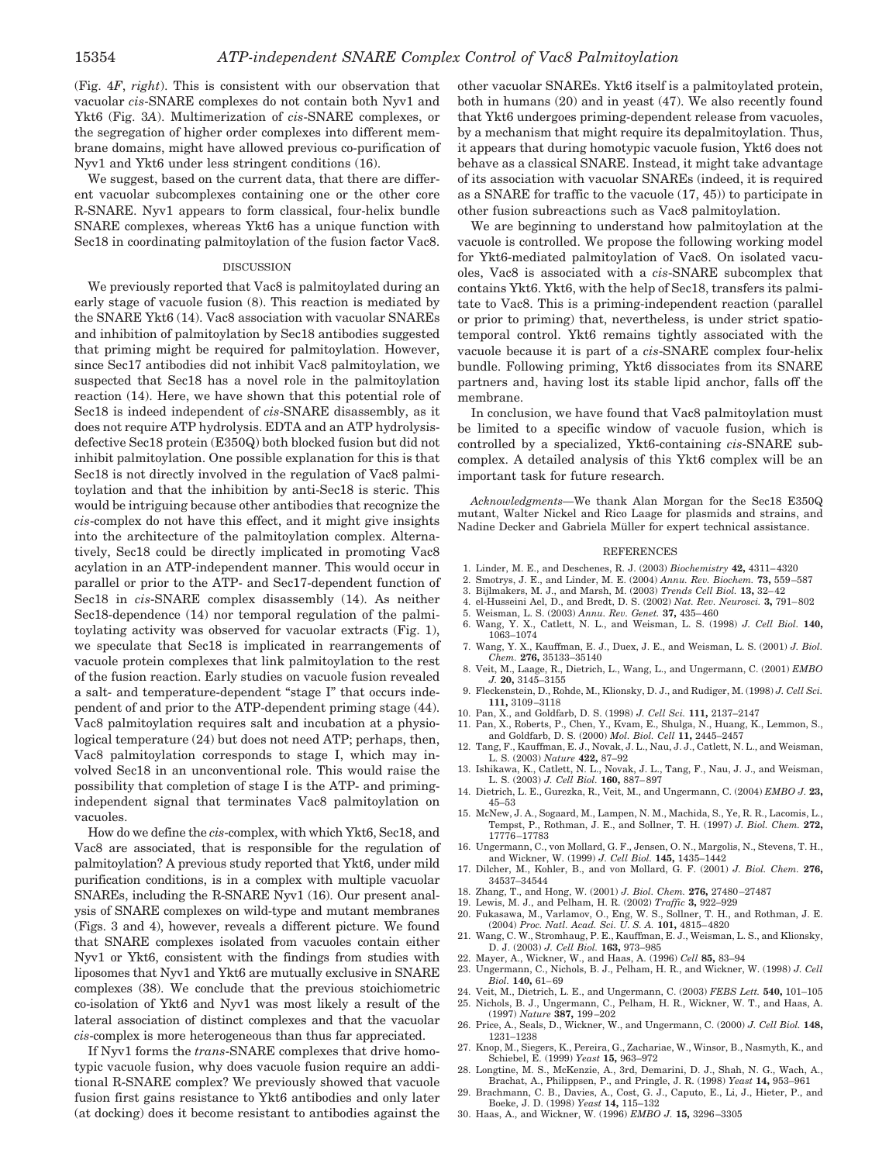(Fig. 4*F*, *right*). This is consistent with our observation that vacuolar *cis*-SNARE complexes do not contain both Nyv1 and Ykt6 (Fig. 3*A*). Multimerization of *cis*-SNARE complexes, or the segregation of higher order complexes into different membrane domains, might have allowed previous co-purification of Nyv1 and Ykt6 under less stringent conditions (16).

We suggest, based on the current data, that there are different vacuolar subcomplexes containing one or the other core R-SNARE. Nyv1 appears to form classical, four-helix bundle SNARE complexes, whereas Ykt6 has a unique function with Sec18 in coordinating palmitoylation of the fusion factor Vac8.

### DISCUSSION

We previously reported that Vac8 is palmitoylated during an early stage of vacuole fusion (8). This reaction is mediated by the SNARE Ykt6 (14). Vac8 association with vacuolar SNAREs and inhibition of palmitoylation by Sec18 antibodies suggested that priming might be required for palmitoylation. However, since Sec17 antibodies did not inhibit Vac8 palmitoylation, we suspected that Sec18 has a novel role in the palmitoylation reaction (14). Here, we have shown that this potential role of Sec18 is indeed independent of *cis*-SNARE disassembly, as it does not require ATP hydrolysis. EDTA and an ATP hydrolysisdefective Sec18 protein (E350Q) both blocked fusion but did not inhibit palmitoylation. One possible explanation for this is that Sec18 is not directly involved in the regulation of Vac8 palmitoylation and that the inhibition by anti-Sec18 is steric. This would be intriguing because other antibodies that recognize the *cis*-complex do not have this effect, and it might give insights into the architecture of the palmitoylation complex. Alternatively, Sec18 could be directly implicated in promoting Vac8 acylation in an ATP-independent manner. This would occur in parallel or prior to the ATP- and Sec17-dependent function of Sec18 in *cis*-SNARE complex disassembly (14). As neither Sec18-dependence (14) nor temporal regulation of the palmitoylating activity was observed for vacuolar extracts (Fig. 1), we speculate that Sec18 is implicated in rearrangements of vacuole protein complexes that link palmitoylation to the rest of the fusion reaction. Early studies on vacuole fusion revealed a salt- and temperature-dependent "stage I" that occurs independent of and prior to the ATP-dependent priming stage (44). Vac8 palmitoylation requires salt and incubation at a physiological temperature (24) but does not need ATP; perhaps, then, Vac8 palmitoylation corresponds to stage I, which may involved Sec18 in an unconventional role. This would raise the possibility that completion of stage I is the ATP- and primingindependent signal that terminates Vac8 palmitoylation on vacuoles.

How do we define the *cis*-complex, with which Ykt6, Sec18, and Vac8 are associated, that is responsible for the regulation of palmitoylation? A previous study reported that Ykt6, under mild purification conditions, is in a complex with multiple vacuolar SNAREs, including the R-SNARE Nyv1 (16). Our present analysis of SNARE complexes on wild-type and mutant membranes (Figs. 3 and 4), however, reveals a different picture. We found that SNARE complexes isolated from vacuoles contain either Nyv1 or Ykt6, consistent with the findings from studies with liposomes that Nyv1 and Ykt6 are mutually exclusive in SNARE complexes (38). We conclude that the previous stoichiometric co-isolation of Ykt6 and Nyv1 was most likely a result of the lateral association of distinct complexes and that the vacuolar *cis*-complex is more heterogeneous than thus far appreciated.

If Nyv1 forms the *trans*-SNARE complexes that drive homotypic vacuole fusion, why does vacuole fusion require an additional R-SNARE complex? We previously showed that vacuole fusion first gains resistance to Ykt6 antibodies and only later (at docking) does it become resistant to antibodies against the

other vacuolar SNAREs. Ykt6 itself is a palmitoylated protein, both in humans (20) and in yeast (47). We also recently found that Ykt6 undergoes priming-dependent release from vacuoles, by a mechanism that might require its depalmitoylation. Thus, it appears that during homotypic vacuole fusion, Ykt6 does not behave as a classical SNARE. Instead, it might take advantage of its association with vacuolar SNAREs (indeed, it is required as a SNARE for traffic to the vacuole (17, 45)) to participate in other fusion subreactions such as Vac8 palmitoylation.

We are beginning to understand how palmitoylation at the vacuole is controlled. We propose the following working model for Ykt6-mediated palmitoylation of Vac8. On isolated vacuoles, Vac8 is associated with a *cis*-SNARE subcomplex that contains Ykt6. Ykt6, with the help of Sec18, transfers its palmitate to Vac8. This is a priming-independent reaction (parallel or prior to priming) that, nevertheless, is under strict spatiotemporal control. Ykt6 remains tightly associated with the vacuole because it is part of a *cis*-SNARE complex four-helix bundle. Following priming, Ykt6 dissociates from its SNARE partners and, having lost its stable lipid anchor, falls off the membrane.

In conclusion, we have found that Vac8 palmitoylation must be limited to a specific window of vacuole fusion, which is controlled by a specialized, Ykt6-containing *cis*-SNARE subcomplex. A detailed analysis of this Ykt6 complex will be an important task for future research.

*Acknowledgments—*We thank Alan Morgan for the Sec18 E350Q mutant, Walter Nickel and Rico Laage for plasmids and strains, and Nadine Decker and Gabriela Müller for expert technical assistance.

#### REFERENCES

- 1. Linder, M. E., and Deschenes, R. J. (2003) *Biochemistry* **42,** 4311– 4320
- 2. Smotrys, J. E., and Linder, M. E. (2004) *Annu. Rev. Biochem.* **73,** 559 –587
- 3. Bijlmakers, M. J., and Marsh, M. (2003) *Trends Cell Biol.* **13,** 32– 42
- 4. el-Husseini Ael, D., and Bredt, D. S. (2002) *Nat. Rev. Neurosci.* **3,** 791– 802
- 5. Weisman, L. S. (2003) *Annu. Rev. Genet.* **37,** 435– 460
- 6. Wang, Y. X., Catlett, N. L., and Weisman, L. S. (1998) *J. Cell Biol.* **140,** 1063–1074
- 7. Wang, Y. X., Kauffman, E. J., Duex, J. E., and Weisman, L. S. (2001) *J. Biol. Chem.* **276,** 35133–35140
- 8. Veit, M., Laage, R., Dietrich, L., Wang, L., and Ungermann, C. (2001) *EMBO J.* **20,** 3145–3155
- 9. Fleckenstein, D., Rohde, M., Klionsky, D. J., and Rudiger, M. (1998) *J. Cell Sci.* **111,** 3109 –3118
- 10. Pan, X., and Goldfarb, D. S. (1998) *J. Cell Sci.* **111,** 2137–2147
- 11. Pan, X., Roberts, P., Chen, Y., Kvam, E., Shulga, N., Huang, K., Lemmon, S., and Goldfarb, D. S. (2000) *Mol. Biol. Cell* **11,** 2445–2457
- 12. Tang, F., Kauffman, E. J., Novak, J. L., Nau, J. J., Catlett, N. L., and Weisman, L. S. (2003) *Nature* **422,** 87–92
- 13. Ishikawa, K., Catlett, N. L., Novak, J. L., Tang, F., Nau, J. J., and Weisman, L. S. (2003) *J. Cell Biol.* **160,** 887– 897
- 14. Dietrich, L. E., Gurezka, R., Veit, M., and Ungermann, C. (2004) *EMBO J.* **23,** 45–53
- 15. McNew, J. A., Sogaard, M., Lampen, N. M., Machida, S., Ye, R. R., Lacomis, L., Tempst, P., Rothman, J. E., and Sollner, T. H. (1997) *J. Biol. Chem.* **272,** 17776 –17783
- 16. Ungermann, C., von Mollard, G. F., Jensen, O. N., Margolis, N., Stevens, T. H., and Wickner, W. (1999) *J. Cell Biol.* **145,** 1435–1442
- 17. Dilcher, M., Kohler, B., and von Mollard, G. F. (2001) *J. Biol. Chem.* **276,** 34537–34544
- 18. Zhang, T., and Hong, W. (2001) *J. Biol. Chem.* **276,** 27480 –27487
- 19. Lewis, M. J., and Pelham, H. R. (2002) *Traffic* **3,** 922–929
- 20. Fukasawa, M., Varlamov, O., Eng, W. S., Sollner, T. H., and Rothman, J. E. (2004) *Proc. Natl. Acad. Sci. U. S. A.* **101,** 4815– 4820
- 21. Wang, C. W., Stromhaug, P. E., Kauffman, E. J., Weisman, L. S., and Klionsky, D. J. (2003) *J. Cell Biol.* **163,** 973–985
- 22. Mayer, A., Wickner, W., and Haas, A. (1996) *Cell* **85,** 83–94
- 23. Ungermann, C., Nichols, B. J., Pelham, H. R., and Wickner, W. (1998) *J. Cell Biol.* **140,** 61– 69
- 24. Veit, M., Dietrich, L. E., and Ungermann, C. (2003) *FEBS Lett.* **540,** 101–105 25. Nichols, B. J., Ungermann, C., Pelham, H. R., Wickner, W. T., and Haas, A. (1997) *Nature* **387,** 199 –202
- 26. Price, A., Seals, D., Wickner, W., and Ungermann, C. (2000) *J. Cell Biol.* **148,** 1231–1238
- 27. Knop, M., Siegers, K., Pereira, G., Zachariae, W., Winsor, B., Nasmyth, K., and Schiebel, E. (1999) *Yeast* **15,** 963–972
- 28. Longtine, M. S., McKenzie, A., 3rd, Demarini, D. J., Shah, N. G., Wach, A., Brachat, A., Philippsen, P., and Pringle, J. R. (1998) *Yeast* **14,** 953–961
- 29. Brachmann, C. B., Davies, A., Cost, G. J., Caputo, E., Li, J., Hieter, P., and Boeke, J. D. (1998) *Yeast* **14,** 115–132
- 30. Haas, A., and Wickner, W. (1996) *EMBO J.* **15,** 3296 –3305